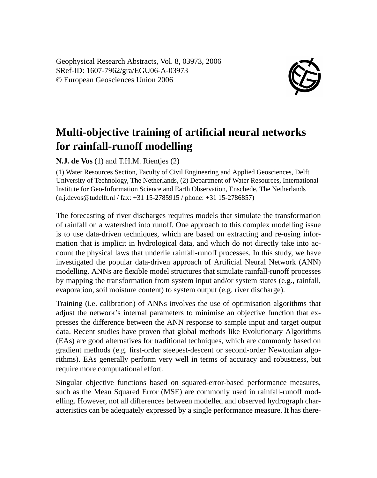Geophysical Research Abstracts, Vol. 8, 03973, 2006 SRef-ID: 1607-7962/gra/EGU06-A-03973 © European Geosciences Union 2006



## **Multi-objective training of artificial neural networks for rainfall-runoff modelling**

**N.J. de Vos** (1) and T.H.M. Rientjes (2)

(1) Water Resources Section, Faculty of Civil Engineering and Applied Geosciences, Delft University of Technology, The Netherlands, (2) Department of Water Resources, International Institute for Geo-Information Science and Earth Observation, Enschede, The Netherlands (n.j.devos@tudelft.nl / fax: +31 15-2785915 / phone: +31 15-2786857)

The forecasting of river discharges requires models that simulate the transformation of rainfall on a watershed into runoff. One approach to this complex modelling issue is to use data-driven techniques, which are based on extracting and re-using information that is implicit in hydrological data, and which do not directly take into account the physical laws that underlie rainfall-runoff processes. In this study, we have investigated the popular data-driven approach of Artificial Neural Network (ANN) modelling. ANNs are flexible model structures that simulate rainfall-runoff processes by mapping the transformation from system input and/or system states (e.g., rainfall, evaporation, soil moisture content) to system output (e.g. river discharge).

Training (i.e. calibration) of ANNs involves the use of optimisation algorithms that adjust the network's internal parameters to minimise an objective function that expresses the difference between the ANN response to sample input and target output data. Recent studies have proven that global methods like Evolutionary Algorithms (EAs) are good alternatives for traditional techniques, which are commonly based on gradient methods (e.g. first-order steepest-descent or second-order Newtonian algorithms). EAs generally perform very well in terms of accuracy and robustness, but require more computational effort.

Singular objective functions based on squared-error-based performance measures, such as the Mean Squared Error (MSE) are commonly used in rainfall-runoff modelling. However, not all differences between modelled and observed hydrograph characteristics can be adequately expressed by a single performance measure. It has there-